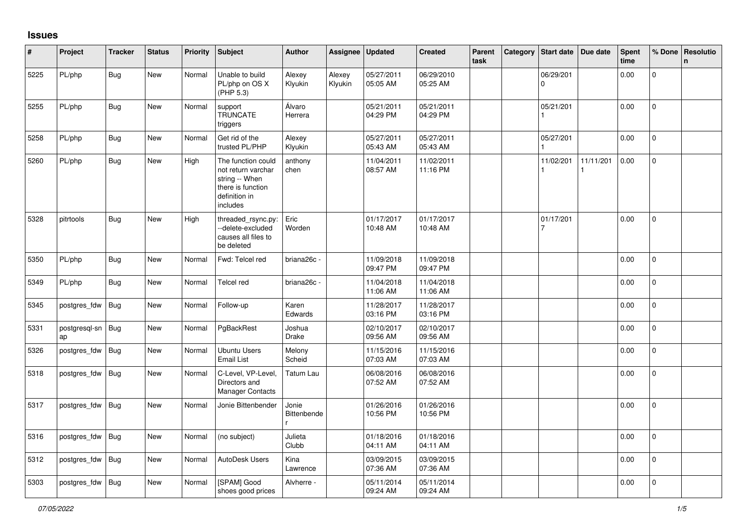## **Issues**

| #    | Project             | <b>Tracker</b> | <b>Status</b> | Priority | <b>Subject</b>                                                                                               | <b>Author</b>        | Assignee          | Updated                | <b>Created</b>         | Parent<br>task | Category | Start date     | Due date  | <b>Spent</b><br>time | % Done       | Resolutio<br>n |
|------|---------------------|----------------|---------------|----------|--------------------------------------------------------------------------------------------------------------|----------------------|-------------------|------------------------|------------------------|----------------|----------|----------------|-----------|----------------------|--------------|----------------|
| 5225 | PL/php              | <b>Bug</b>     | New           | Normal   | Unable to build<br>PL/php on OS X<br>(PHP 5.3)                                                               | Alexey<br>Klyukin    | Alexey<br>Klyukin | 05/27/2011<br>05:05 AM | 06/29/2010<br>05:25 AM |                |          | 06/29/201<br>0 |           | 0.00                 | 0            |                |
| 5255 | PL/php              | Bug            | New           | Normal   | support<br><b>TRUNCATE</b><br>triggers                                                                       | Álvaro<br>Herrera    |                   | 05/21/2011<br>04:29 PM | 05/21/2011<br>04:29 PM |                |          | 05/21/201      |           | 0.00                 | $\mathbf{0}$ |                |
| 5258 | PL/php              | <b>Bug</b>     | <b>New</b>    | Normal   | Get rid of the<br>trusted PL/PHP                                                                             | Alexey<br>Klyukin    |                   | 05/27/2011<br>05:43 AM | 05/27/2011<br>05:43 AM |                |          | 05/27/201      |           | 0.00                 | $\mathbf{0}$ |                |
| 5260 | PL/php              | <b>Bug</b>     | New           | High     | The function could<br>not return varchar<br>string -- When<br>there is function<br>definition in<br>includes | anthony<br>chen      |                   | 11/04/2011<br>08:57 AM | 11/02/2011<br>11:16 PM |                |          | 11/02/201      | 11/11/201 | 0.00                 | $\mathbf 0$  |                |
| 5328 | pitrtools           | <b>Bug</b>     | New           | High     | threaded_rsync.py:<br>--delete-excluded<br>causes all files to<br>be deleted                                 | Eric<br>Worden       |                   | 01/17/2017<br>10:48 AM | 01/17/2017<br>10:48 AM |                |          | 01/17/201<br>7 |           | 0.00                 | $\mathbf 0$  |                |
| 5350 | PL/php              | Bug            | New           | Normal   | Fwd: Telcel red                                                                                              | briana26c -          |                   | 11/09/2018<br>09:47 PM | 11/09/2018<br>09:47 PM |                |          |                |           | 0.00                 | $\mathbf{0}$ |                |
| 5349 | PL/php              | Bug            | New           | Normal   | Telcel red                                                                                                   | briana26c -          |                   | 11/04/2018<br>11:06 AM | 11/04/2018<br>11:06 AM |                |          |                |           | 0.00                 | 0            |                |
| 5345 | postgres_fdw        | Bug            | New           | Normal   | Follow-up                                                                                                    | Karen<br>Edwards     |                   | 11/28/2017<br>03:16 PM | 11/28/2017<br>03:16 PM |                |          |                |           | 0.00                 | $\mathbf 0$  |                |
| 5331 | postgresql-sn<br>ap | Bug            | New           | Normal   | PgBackRest                                                                                                   | Joshua<br>Drake      |                   | 02/10/2017<br>09:56 AM | 02/10/2017<br>09:56 AM |                |          |                |           | 0.00                 | $\mathbf 0$  |                |
| 5326 | postgres_fdw        | <b>Bug</b>     | New           | Normal   | Ubuntu Users<br><b>Email List</b>                                                                            | Melony<br>Scheid     |                   | 11/15/2016<br>07:03 AM | 11/15/2016<br>07:03 AM |                |          |                |           | 0.00                 | $\mathbf{0}$ |                |
| 5318 | postgres_fdw        | <b>Bug</b>     | <b>New</b>    | Normal   | C-Level, VP-Level,<br>Directors and<br><b>Manager Contacts</b>                                               | Tatum Lau            |                   | 06/08/2016<br>07:52 AM | 06/08/2016<br>07:52 AM |                |          |                |           | 0.00                 | $\mathbf 0$  |                |
| 5317 | postgres fdw        | Bug            | New           | Normal   | Jonie Bittenbender                                                                                           | Jonie<br>Bittenbende |                   | 01/26/2016<br>10:56 PM | 01/26/2016<br>10:56 PM |                |          |                |           | 0.00                 | 0            |                |
| 5316 | postgres_fdw        | Bug            | New           | Normal   | (no subject)                                                                                                 | Julieta<br>Clubb     |                   | 01/18/2016<br>04:11 AM | 01/18/2016<br>04:11 AM |                |          |                |           | 0.00                 | $\mathbf{0}$ |                |
| 5312 | postgres_fdw        | Bug            | New           | Normal   | <b>AutoDesk Users</b>                                                                                        | Kina<br>Lawrence     |                   | 03/09/2015<br>07:36 AM | 03/09/2015<br>07:36 AM |                |          |                |           | 0.00                 | 0            |                |
| 5303 | postgres_fdw        | Bug            | New           | Normal   | [SPAM] Good<br>shoes good prices                                                                             | Alvherre -           |                   | 05/11/2014<br>09:24 AM | 05/11/2014<br>09:24 AM |                |          |                |           | 0.00                 | 0            |                |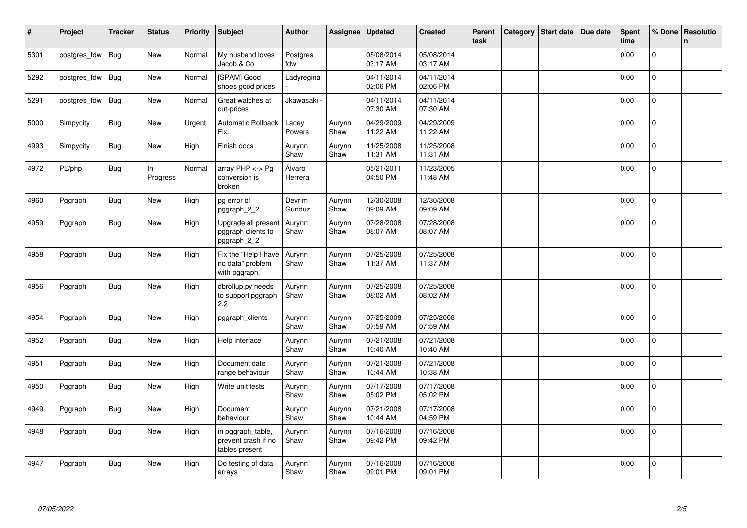| $\vert$ # | Project      | <b>Tracker</b> | <b>Status</b>  | <b>Priority</b> | Subject                                                    | <b>Author</b>     | Assignee       | <b>Updated</b>         | <b>Created</b>         | Parent<br>task | Category | Start date | Due date | <b>Spent</b><br>time | % Done       | Resolutio<br>n |
|-----------|--------------|----------------|----------------|-----------------|------------------------------------------------------------|-------------------|----------------|------------------------|------------------------|----------------|----------|------------|----------|----------------------|--------------|----------------|
| 5301      | postgres_fdw | <b>Bug</b>     | New            | Normal          | My husband loves<br>Jacob & Co                             | Postgres<br>fdw   |                | 05/08/2014<br>03:17 AM | 05/08/2014<br>03:17 AM |                |          |            |          | 0.00                 | $\mathbf{0}$ |                |
| 5292      | postgres fdw | Bug            | New            | Normal          | [SPAM] Good<br>shoes good prices                           | Ladyregina        |                | 04/11/2014<br>02:06 PM | 04/11/2014<br>02:06 PM |                |          |            |          | 0.00                 | $\mathbf 0$  |                |
| 5291      | postgres_fdw | <b>Bug</b>     | New            | Normal          | Great watches at<br>cut-prices                             | Jkawasaki -       |                | 04/11/2014<br>07:30 AM | 04/11/2014<br>07:30 AM |                |          |            |          | 0.00                 | $\mathbf{0}$ |                |
| 5000      | Simpycity    | <b>Bug</b>     | New            | Urgent          | <b>Automatic Rollback</b><br>Fix.                          | Lacey<br>Powers   | Aurynn<br>Shaw | 04/29/2009<br>11:22 AM | 04/29/2009<br>11:22 AM |                |          |            |          | 0.00                 | 0            |                |
| 4993      | Simpycity    | <b>Bug</b>     | New            | High            | Finish docs                                                | Aurynn<br>Shaw    | Aurynn<br>Shaw | 11/25/2008<br>11:31 AM | 11/25/2008<br>11:31 AM |                |          |            |          | 0.00                 | $\mathbf{0}$ |                |
| 4972      | PL/php       | Bug            | In<br>Progress | Normal          | array PHP <-> Pg<br>conversion is<br>broken                | Álvaro<br>Herrera |                | 05/21/2011<br>04:50 PM | 11/23/2005<br>11:48 AM |                |          |            |          | 0.00                 | $\mathbf{0}$ |                |
| 4960      | Pggraph      | <b>Bug</b>     | <b>New</b>     | High            | pg error of<br>pggraph_2_2                                 | Devrim<br>Gunduz  | Aurynn<br>Shaw | 12/30/2008<br>09:09 AM | 12/30/2008<br>09:09 AM |                |          |            |          | 0.00                 | $\mathbf{0}$ |                |
| 4959      | Pggraph      | Bug            | New            | High            | Upgrade all present<br>pggraph clients to<br>pggraph_2_2   | Aurynn<br>Shaw    | Aurynn<br>Shaw | 07/28/2008<br>08:07 AM | 07/28/2008<br>08:07 AM |                |          |            |          | 0.00                 | $\mathbf 0$  |                |
| 4958      | Pggraph      | Bug            | <b>New</b>     | High            | Fix the "Help I have<br>no data" problem<br>with pggraph.  | Aurynn<br>Shaw    | Aurynn<br>Shaw | 07/25/2008<br>11:37 AM | 07/25/2008<br>11:37 AM |                |          |            |          | 0.00                 | $\mathbf 0$  |                |
| 4956      | Pggraph      | Bug            | New            | High            | dbrollup.py needs<br>to support pggraph<br>2.2             | Aurynn<br>Shaw    | Aurynn<br>Shaw | 07/25/2008<br>08:02 AM | 07/25/2008<br>08:02 AM |                |          |            |          | 0.00                 | $\mathbf{0}$ |                |
| 4954      | Pggraph      | Bug            | New            | High            | pggraph_clients                                            | Aurynn<br>Shaw    | Aurynn<br>Shaw | 07/25/2008<br>07:59 AM | 07/25/2008<br>07:59 AM |                |          |            |          | 0.00                 | $\pmb{0}$    |                |
| 4952      | Pggraph      | <b>Bug</b>     | New            | High            | Help interface                                             | Aurynn<br>Shaw    | Aurynn<br>Shaw | 07/21/2008<br>10:40 AM | 07/21/2008<br>10:40 AM |                |          |            |          | 0.00                 | $\mathbf 0$  |                |
| 4951      | Pggraph      | <b>Bug</b>     | New            | High            | Document date<br>range behaviour                           | Aurynn<br>Shaw    | Aurynn<br>Shaw | 07/21/2008<br>10:44 AM | 07/21/2008<br>10:38 AM |                |          |            |          | 0.00                 | $\mathbf{0}$ |                |
| 4950      | Pggraph      | <b>Bug</b>     | New            | High            | Write unit tests                                           | Aurynn<br>Shaw    | Aurynn<br>Shaw | 07/17/2008<br>05:02 PM | 07/17/2008<br>05:02 PM |                |          |            |          | 0.00                 | $\mathbf{0}$ |                |
| 4949      | Pggraph      | <b>Bug</b>     | New            | High            | Document<br>behaviour                                      | Aurynn<br>Shaw    | Aurynn<br>Shaw | 07/21/2008<br>10:44 AM | 07/17/2008<br>04:59 PM |                |          |            |          | 0.00                 | $\Omega$     |                |
| 4948      | Pggraph      | <b>Bug</b>     | New            | High            | in pggraph_table,<br>prevent crash if no<br>tables present | Aurynn<br>Shaw    | Aurynn<br>Shaw | 07/16/2008<br>09:42 PM | 07/16/2008<br>09:42 PM |                |          |            |          | 0.00                 | $\mathbf{0}$ |                |
| 4947      | Pggraph      | <b>Bug</b>     | <b>New</b>     | High            | Do testing of data<br>arrays                               | Aurynn<br>Shaw    | Aurynn<br>Shaw | 07/16/2008<br>09:01 PM | 07/16/2008<br>09:01 PM |                |          |            |          | 0.00                 | $\Omega$     |                |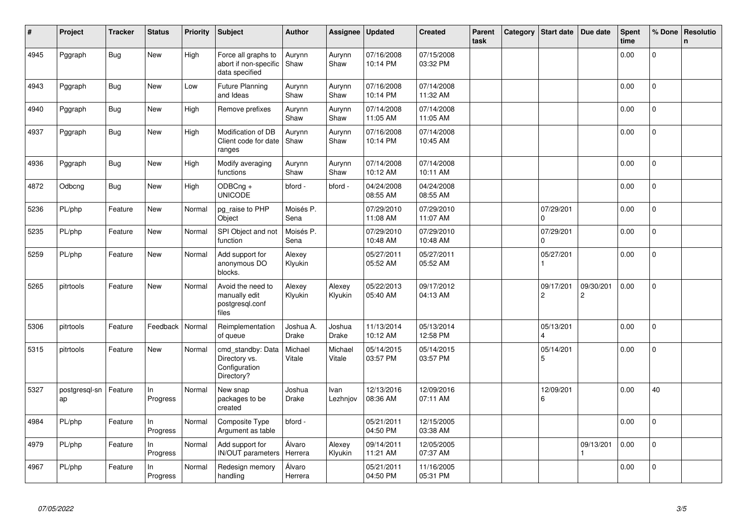| #    | Project             | <b>Tracker</b> | <b>Status</b>  | Priority | <b>Subject</b>                                                    | <b>Author</b>             | Assignee                | <b>Updated</b>         | <b>Created</b>         | Parent<br>task | Category | Start date                  | Due date                    | Spent<br>time | % Done         | Resolutio<br>$\mathsf{n}$ |
|------|---------------------|----------------|----------------|----------|-------------------------------------------------------------------|---------------------------|-------------------------|------------------------|------------------------|----------------|----------|-----------------------------|-----------------------------|---------------|----------------|---------------------------|
| 4945 | Pggraph             | Bug            | New            | High     | Force all graphs to<br>abort if non-specific<br>data specified    | Aurynn<br>Shaw            | Aurynn<br>Shaw          | 07/16/2008<br>10:14 PM | 07/15/2008<br>03:32 PM |                |          |                             |                             | 0.00          | 0              |                           |
| 4943 | Pggraph             | Bug            | <b>New</b>     | Low      | <b>Future Planning</b><br>and Ideas                               | Aurynn<br>Shaw            | Aurynn<br>Shaw          | 07/16/2008<br>10:14 PM | 07/14/2008<br>11:32 AM |                |          |                             |                             | 0.00          | 0              |                           |
| 4940 | Pggraph             | Bug            | <b>New</b>     | High     | Remove prefixes                                                   | Aurynn<br>Shaw            | Aurynn<br>Shaw          | 07/14/2008<br>11:05 AM | 07/14/2008<br>11:05 AM |                |          |                             |                             | 0.00          | $\mathbf 0$    |                           |
| 4937 | Pggraph             | Bug            | <b>New</b>     | High     | Modification of DB<br>Client code for date<br>ranges              | Aurynn<br>Shaw            | Aurynn<br>Shaw          | 07/16/2008<br>10:14 PM | 07/14/2008<br>10:45 AM |                |          |                             |                             | 0.00          | 0              |                           |
| 4936 | Pggraph             | Bug            | New            | High     | Modify averaging<br>functions                                     | Aurynn<br>Shaw            | Aurynn<br>Shaw          | 07/14/2008<br>10:12 AM | 07/14/2008<br>10:11 AM |                |          |                             |                             | 0.00          | $\mathbf 0$    |                           |
| 4872 | Odbcng              | <b>Bug</b>     | New            | High     | ODBCng +<br><b>UNICODE</b>                                        | bford -                   | bford -                 | 04/24/2008<br>08:55 AM | 04/24/2008<br>08:55 AM |                |          |                             |                             | 0.00          | $\mathbf 0$    |                           |
| 5236 | PL/php              | Feature        | New            | Normal   | pg_raise to PHP<br>Object                                         | Moisés P.<br>Sena         |                         | 07/29/2010<br>11:08 AM | 07/29/2010<br>11:07 AM |                |          | 07/29/201<br>$\Omega$       |                             | 0.00          | 0              |                           |
| 5235 | PL/php              | Feature        | <b>New</b>     | Normal   | SPI Object and not<br>function                                    | Moisés P.<br>Sena         |                         | 07/29/2010<br>10:48 AM | 07/29/2010<br>10:48 AM |                |          | 07/29/201<br>$\Omega$       |                             | 0.00          | $\mathbf 0$    |                           |
| 5259 | PL/php              | Feature        | New            | Normal   | Add support for<br>anonymous DO<br>blocks.                        | Alexey<br>Klyukin         |                         | 05/27/2011<br>05:52 AM | 05/27/2011<br>05:52 AM |                |          | 05/27/201                   |                             | 0.00          | 0              |                           |
| 5265 | pitrtools           | Feature        | New            | Normal   | Avoid the need to<br>manually edit<br>postgresql.conf<br>files    | Alexey<br>Klyukin         | Alexey<br>Klyukin       | 05/22/2013<br>05:40 AM | 09/17/2012<br>04:13 AM |                |          | 09/17/201<br>$\overline{c}$ | 09/30/201<br>$\overline{c}$ | 0.00          | $\mathbf 0$    |                           |
| 5306 | pitrtools           | Feature        | Feedback       | Normal   | Reimplementation<br>of queue                                      | Joshua A.<br><b>Drake</b> | Joshua<br><b>Drake</b>  | 11/13/2014<br>10:12 AM | 05/13/2014<br>12:58 PM |                |          | 05/13/201                   |                             | 0.00          | 0              |                           |
| 5315 | pitrtools           | Feature        | New            | Normal   | cmd standby: Data<br>Directory vs.<br>Configuration<br>Directory? | Michael<br>Vitale         | Michael<br>Vitale       | 05/14/2015<br>03:57 PM | 05/14/2015<br>03:57 PM |                |          | 05/14/201<br>5              |                             | 0.00          | $\overline{0}$ |                           |
| 5327 | postgresgl-sn<br>ap | Feature        | In<br>Progress | Normal   | New snap<br>packages to be<br>created                             | Joshua<br>Drake           | <b>Ivan</b><br>Lezhnjov | 12/13/2016<br>08:36 AM | 12/09/2016<br>07:11 AM |                |          | 12/09/201<br>6              |                             | 0.00          | 40             |                           |
| 4984 | PL/php              | Feature        | In<br>Progress | Normal   | Composite Type<br>Argument as table                               | bford -                   |                         | 05/21/2011<br>04:50 PM | 12/15/2005<br>03:38 AM |                |          |                             |                             | 0.00          | $\mathbf 0$    |                           |
| 4979 | PL/php              | Feature        | In<br>Progress | Normal   | Add support for<br>IN/OUT parameters                              | Álvaro<br>Herrera         | Alexey<br>Klyukin       | 09/14/2011<br>11:21 AM | 12/05/2005<br>07:37 AM |                |          |                             | 09/13/201                   | 0.00          | 0              |                           |
| 4967 | PL/php              | Feature        | In<br>Progress | Normal   | Redesign memory<br>handling                                       | Álvaro<br>Herrera         |                         | 05/21/2011<br>04:50 PM | 11/16/2005<br>05:31 PM |                |          |                             |                             | 0.00          | $\overline{0}$ |                           |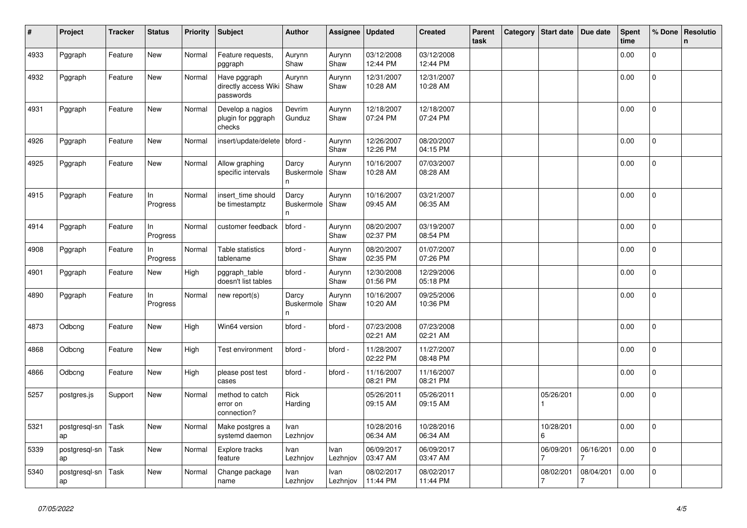| #    | Project             | Tracker | <b>Status</b>   | <b>Priority</b> | <b>Subject</b>                                    | <b>Author</b>                       | Assignee         | <b>Updated</b>         | <b>Created</b>         | <b>Parent</b><br>task | Category | <b>Start date</b>         | Due date       | <b>Spent</b><br>time | % Done         | Resolutio<br>$\mathbf n$ |
|------|---------------------|---------|-----------------|-----------------|---------------------------------------------------|-------------------------------------|------------------|------------------------|------------------------|-----------------------|----------|---------------------------|----------------|----------------------|----------------|--------------------------|
| 4933 | Pggraph             | Feature | New             | Normal          | Feature requests,<br>pggraph                      | Aurynn<br>Shaw                      | Aurynn<br>Shaw   | 03/12/2008<br>12:44 PM | 03/12/2008<br>12:44 PM |                       |          |                           |                | 0.00                 | $\mathbf{0}$   |                          |
| 4932 | Pggraph             | Feature | <b>New</b>      | Normal          | Have pggraph<br>directly access Wiki<br>passwords | Aurynn<br>Shaw                      | Aurynn<br>Shaw   | 12/31/2007<br>10:28 AM | 12/31/2007<br>10:28 AM |                       |          |                           |                | 0.00                 | $\overline{0}$ |                          |
| 4931 | Pggraph             | Feature | New             | Normal          | Develop a nagios<br>plugin for pggraph<br>checks  | Devrim<br>Gunduz                    | Aurynn<br>Shaw   | 12/18/2007<br>07:24 PM | 12/18/2007<br>07:24 PM |                       |          |                           |                | 0.00                 | $\mathbf{0}$   |                          |
| 4926 | Pggraph             | Feature | New             | Normal          | insert/update/delete                              | bford -                             | Aurynn<br>Shaw   | 12/26/2007<br>12:26 PM | 08/20/2007<br>04:15 PM |                       |          |                           |                | 0.00                 | 0              |                          |
| 4925 | Pggraph             | Feature | New             | Normal          | Allow graphing<br>specific intervals              | Darcy<br>Buskermole<br>$\mathsf{n}$ | Aurynn<br>Shaw   | 10/16/2007<br>10:28 AM | 07/03/2007<br>08:28 AM |                       |          |                           |                | 0.00                 | 0              |                          |
| 4915 | Pggraph             | Feature | In.<br>Progress | Normal          | insert time should<br>be timestamptz              | Darcy<br><b>Buskermole</b><br>n     | Aurynn<br>Shaw   | 10/16/2007<br>09:45 AM | 03/21/2007<br>06:35 AM |                       |          |                           |                | 0.00                 | $\overline{0}$ |                          |
| 4914 | Pggraph             | Feature | In<br>Progress  | Normal          | customer feedback                                 | bford -                             | Aurynn<br>Shaw   | 08/20/2007<br>02:37 PM | 03/19/2007<br>08:54 PM |                       |          |                           |                | 0.00                 | $\mathbf{0}$   |                          |
| 4908 | Pggraph             | Feature | In<br>Progress  | Normal          | Table statistics<br>tablename                     | bford -                             | Aurynn<br>Shaw   | 08/20/2007<br>02:35 PM | 01/07/2007<br>07:26 PM |                       |          |                           |                | 0.00                 | $\mathbf 0$    |                          |
| 4901 | Pggraph             | Feature | New             | High            | pggraph_table<br>doesn't list tables              | bford -                             | Aurynn<br>Shaw   | 12/30/2008<br>01:56 PM | 12/29/2006<br>05:18 PM |                       |          |                           |                | 0.00                 | $\overline{0}$ |                          |
| 4890 | Pggraph             | Feature | In<br>Progress  | Normal          | new report(s)                                     | Darcy<br><b>Buskermole</b><br>n     | Aurynn<br>Shaw   | 10/16/2007<br>10:20 AM | 09/25/2006<br>10:36 PM |                       |          |                           |                | 0.00                 | $\mathbf 0$    |                          |
| 4873 | Odbcng              | Feature | <b>New</b>      | High            | Win64 version                                     | bford -                             | bford -          | 07/23/2008<br>02:21 AM | 07/23/2008<br>02:21 AM |                       |          |                           |                | 0.00                 | $\mathbf 0$    |                          |
| 4868 | Odbcng              | Feature | New             | High            | Test environment                                  | bford -                             | bford -          | 11/28/2007<br>02:22 PM | 11/27/2007<br>08:48 PM |                       |          |                           |                | 0.00                 | 0              |                          |
| 4866 | Odbcng              | Feature | New             | High            | please post test<br>cases                         | bford -                             | bford -          | 11/16/2007<br>08:21 PM | 11/16/2007<br>08:21 PM |                       |          |                           |                | 0.00                 | $\Omega$       |                          |
| 5257 | postgres.js         | Support | New             | Normal          | method to catch<br>error on<br>connection?        | Rick<br>Harding                     |                  | 05/26/2011<br>09:15 AM | 05/26/2011<br>09:15 AM |                       |          | 05/26/201<br>$\mathbf{1}$ |                | 0.00                 | $\mathbf{0}$   |                          |
| 5321 | postgresql-sn<br>ap | Task    | New             | Normal          | Make postgres a<br>systemd daemon                 | Ivan<br>Lezhnjov                    |                  | 10/28/2016<br>06:34 AM | 10/28/2016<br>06:34 AM |                       |          | 10/28/201<br>6            |                | 0.00                 | $\Omega$       |                          |
| 5339 | postgresql-sn<br>ap | Task    | <b>New</b>      | Normal          | Explore tracks<br>feature                         | Ivan<br>Lezhnjov                    | Ivan<br>Lezhnjov | 06/09/2017<br>03:47 AM | 06/09/2017<br>03:47 AM |                       |          | 06/09/201<br>7            | 06/16/201<br>7 | 0.00                 | 0              |                          |
| 5340 | postgresgl-sn<br>ap | Task    | New             | Normal          | Change package<br>name                            | Ivan<br>Lezhnjov                    | Ivan<br>Lezhnjov | 08/02/2017<br>11:44 PM | 08/02/2017<br>11:44 PM |                       |          | 08/02/201<br>7            | 08/04/201<br>7 | 0.00                 | 0              |                          |